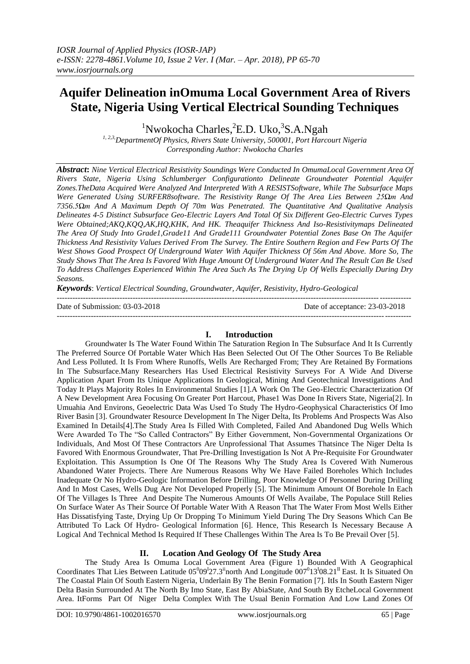# **Aquifer Delineation inOmuma Local Government Area of Rivers State, Nigeria Using Vertical Electrical Sounding Techniques**

<sup>1</sup>Nwokocha Charles,<sup>2</sup>E.D. Uko,<sup>3</sup>S.A.Ngah

*1, 2,3,DepartmentOf Physics, Rivers State University, 500001, Port Harcourt Nigeria Corresponding Author: Nwokocha Charles*

*Abstract***:** *Nine Vertical Electrical Resistivity Soundings Were Conducted In OmumaLocal Government Area Of Rivers State, Nigeria Using Schlumberger Configurationto Delineate Groundwater Potential Aquifer Zones.TheData Acquired Were Analyzed And Interpreted With A RESISTSoftware, While The Subsurface Maps Were Generated Using SURFER8software. The Resistivity Range Of The Area Lies Between 25Ωm And 7356.5Ωm And A Maximum Depth Of 70m Was Penetrated. The Quantitative And Qualitative Analysis Delineates 4-5 Distinct Subsurface Geo-Electric Layers And Total Of Six Different Geo-Electric Curves Types Were Obtained;AKQ,KQQ,AK,HQ,KHK, And HK. Theaquifer Thickness And Iso-Resistivitymaps Delineated The Area Of Study Into Grade1,Grade11 And Grade111 Groundwater Potential Zones Base On The Aquifer Thickness And Resistivity Values Derived From The Survey. The Entire Southern Region and Few Parts Of The West Shows Good Prospect Of Underground Water With Aquifer Thickness Of 56m And Above. More So, The Study Shows That The Area Is Favored With Huge Amount Of Underground Water And The Result Can Be Used To Address Challenges Experienced Within The Area Such As The Drying Up Of Wells Especially During Dry Seasons.*

*Keywords*: *Vertical Electrical Sounding, Groundwater, Aquifer, Resistivity, Hydro-Geological*

Date of Submission: 03-03-2018 Date of acceptance: 23-03-2018

## **I. Introduction**

---------------------------------------------------------------------------------------------------------------------------------------

---------------------------------------------------------------------------------------------------------------------------------------

Groundwater Is The Water Found Within The Saturation Region In The Subsurface And It Is Currently The Preferred Source Of Portable Water Which Has Been Selected Out Of The Other Sources To Be Reliable And Less Polluted. It Is From Where Runoffs, Wells Are Recharged From; They Are Retained By Formations In The Subsurface.Many Researchers Has Used Electrical Resistivity Surveys For A Wide And Diverse Application Apart From Its Unique Applications In Geological, Mining And Geotechnical Investigations And Today It Plays Majority Roles In Environmental Studies [1].A Work On The Geo-Electric Characterization Of A New Development Area Focusing On Greater Port Harcout, Phase1 Was Done In Rivers State, Nigeria[2]. In Umuahia And Environs, Geoelectric Data Was Used To Study The Hydro-Geophysical Characteristics Of Imo River Basin [3]. Groundwater Resource Development In The Niger Delta, Its Problems And Prospects Was Also Examined In Details[4].The Study Area Is Filled With Completed, Failed And Abandoned Dug Wells Which Were Awarded To The "So Called Contractors" By Either Government, Non-Governmental Organizations Or Individuals, And Most Of These Contractors Are Unprofessional That Assumes Thatsince The Niger Delta Is Favored With Enormous Groundwater, That Pre-Drilling Investigation Is Not A Pre-Requisite For Groundwater Exploitation. This Assumption Is One Of The Reasons Why The Study Area Is Covered With Numerous Abandoned Water Projects. There Are Numerous Reasons Why We Have Failed Boreholes Which Includes Inadequate Or No Hydro-Geologic Information Before Drilling, Poor Knowledge Of Personnel During Drilling And In Most Cases, Wells Dug Are Not Developed Properly [5]. The Minimum Amount Of Borehole In Each Of The Villages Is Three And Despite The Numerous Amounts Of Wells Availabe, The Populace Still Relies On Surface Water As Their Source Of Portable Water With A Reason That The Water From Most Wells Either Has Dissatisfying Taste, Drying Up Or Dropping To Minimum Yield During The Dry Seasons Which Can Be Attributed To Lack Of Hydro- Geological Information [6]. Hence, This Research Is Necessary Because A Logical And Technical Method Is Required If These Challenges Within The Area Is To Be Prevail Over [5].

# **II. Location And Geology Of The Study Area**

The Study Area Is Omuma Local Government Area (Figure 1) Bounded With A Geographical Coordinates That Lies Between Latitude  $05^{0}09^{1}27.3^{ii}$ north And Longitude  $007^{0}13^{1}08.21^{II}$  East. It Is Situated On The Coastal Plain Of South Eastern Nigeria, Underlain By The Benin Formation [7]. ItIs In South Eastern Niger Delta Basin Surrounded At The North By Imo State, East By AbiaState, And South By EtcheLocal Government Area. ItForms Part Of Niger Delta Complex With The Usual Benin Formation And Low Land Zones Of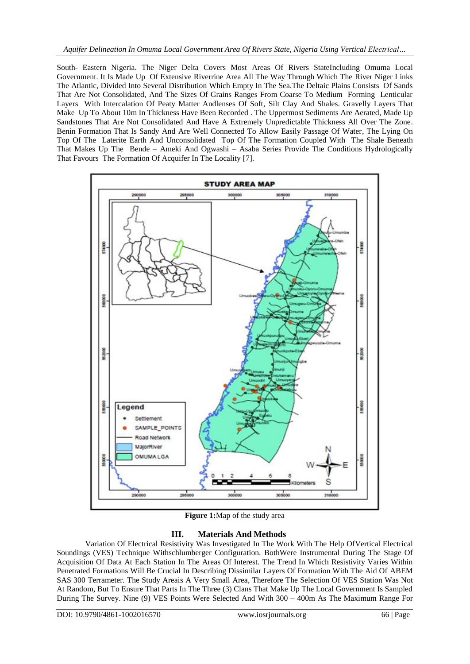South- Eastern Nigeria. The Niger Delta Covers Most Areas Of Rivers StateIncluding Omuma Local Government. It Is Made Up Of Extensive Riverrine Area All The Way Through Which The River Niger Links The Atlantic, Divided Into Several Distribution Which Empty In The Sea.The Deltaic Plains Consists Of Sands That Are Not Consolidated, And The Sizes Of Grains Ranges From Coarse To Medium Forming Lenticular Layers With Intercalation Of Peaty Matter Andlenses Of Soft, Silt Clay And Shales. Gravelly Layers That Make Up To About 10m In Thickness Have Been Recorded . The Uppermost Sediments Are Aerated, Made Up Sandstones That Are Not Consolidated And Have A Extremely Unpredictable Thickness All Over The Zone. Benin Formation That Is Sandy And Are Well Connected To Allow Easily Passage Of Water, The Lying On Top Of The Laterite Earth And Unconsolidated Top Of The Formation Coupled With The Shale Beneath That Makes Up The Bende – Ameki And Ogwashi – Asaba Series Provide The Conditions Hydrologically That Favours The Formation Of Acquifer In The Locality [7].



**Figure 1:**Map of the study area

# **III. Materials And Methods**

Variation Of Electrical Resistivity Was Investigated In The Work With The Help OfVertical Electrical Soundings (VES) Technique Withschlumberger Configuration. BothWere Instrumental During The Stage Of Acquisition Of Data At Each Station In The Areas Of Interest. The Trend In Which Resistivity Varies Within Penetrated Formations Will Be Crucial In Describing Dissimilar Layers Of Formation With The Aid Of ABEM SAS 300 Terrameter. The Study Areais A Very Small Area, Therefore The Selection Of VES Station Was Not At Random, But To Ensure That Parts In The Three (3) Clans That Make Up The Local Government Is Sampled During The Survey. Nine (9) VES Points Were Selected And With 300 – 400m As The Maximum Range For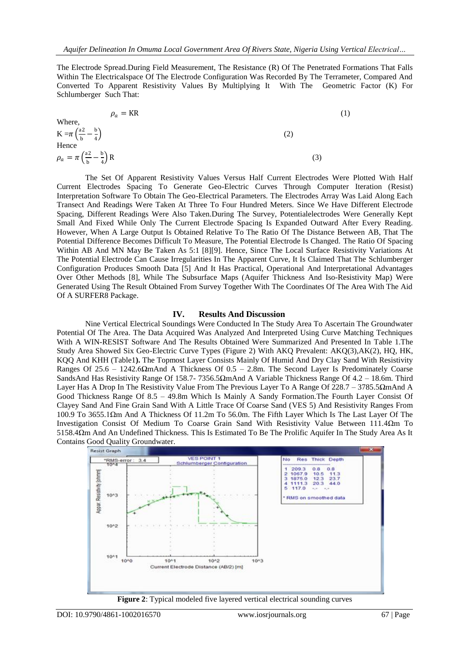The Electrode Spread.During Field Measurement, The Resistance (R) Of The Penetrated Formations That Falls Within The Electricalspace Of The Electrode Configuration Was Recorded By The Terrameter, Compared And Converted To Apparent Resistivity Values By Multiplying It With The Geometric Factor (K) For Schlumberger Such That:

Where,

\n
$$
\rho_a = KR
$$
\n
$$
K = \pi \left(\frac{a^2}{b} - \frac{b}{4}\right)
$$
\nHence

\n
$$
\rho_a = \pi \left(\frac{a^2}{b} - \frac{b}{4}\right)R
$$
\n(3)

The Set Of Apparent Resistivity Values Versus Half Current Electrodes Were Plotted With Half Current Electrodes Spacing To Generate Geo-Electric Curves Through Computer Iteration (Resist) Interpretation Software To Obtain The Geo-Electrical Parameters. The Electrodes Array Was Laid Along Each Transect And Readings Were Taken At Three To Four Hundred Meters. Since We Have Different Electrode Spacing, Different Readings Were Also Taken.During The Survey, Potentialelectrodes Were Generally Kept Small And Fixed While Only The Current Electrode Spacing Is Expanded Outward After Every Reading. However, When A Large Output Is Obtained Relative To The Ratio Of The Distance Between AB, That The Potential Difference Becomes Difficult To Measure, The Potential Electrode Is Changed. The Ratio Of Spacing Within AB And MN May Be Taken As 5:1 [8][9]. Hence, Since The Local Surface Resistivity Variations At The Potential Electrode Can Cause Irregularities In The Apparent Curve, It Is Claimed That The Schlumberger Configuration Produces Smooth Data [5] And It Has Practical, Operational And Interpretational Advantages Over Other Methods [8], While The Subsurface Maps (Aquifer Thickness And Iso-Resistivity Map) Were Generated Using The Result Obtained From Survey Together With The Coordinates Of The Area With The Aid Of A SURFER8 Package.

### **IV. Results And Discussion**

Nine Vertical Electrical Soundings Were Conducted In The Study Area To Ascertain The Groundwater Potential Of The Area. The Data Acquired Was Analyzed And Interpreted Using Curve Matching Techniques With A WIN-RESIST Software And The Results Obtained Were Summarized And Presented In Table 1.The Study Area Showed Six Geo-Electric Curve Types (Figure 2) With AKQ Prevalent: AKQ(3),AK(2), HQ, HK, KQQ And KHH (Table1**).** The Topmost Layer Consists Mainly Of Humid And Dry Clay Sand With Resistivity Ranges Of 25.6 – 1242.6ΩmAnd A Thickness Of 0.5 – 2.8m. The Second Layer Is Predominately Coarse SandsAnd Has Resistivity Range Of 158.7- 7356.5ΩmAnd A Variable Thickness Range Of 4.2 – 18.6m. Third Layer Has A Drop In The Resistivity Value From The Previous Layer To A Range Of 228.7 – 3785.5ΩmAnd A Good Thickness Range Of 8.5 – 49.8m Which Is Mainly A Sandy Formation.The Fourth Layer Consist Of Clayey Sand And Fine Grain Sand With A Little Trace Of Coarse Sand (VES 5) And Resistivity Ranges From 100.9 To 3655.1Ωm And A Thickness Of 11.2m To 56.0m. The Fifth Layer Which Is The Last Layer Of The Investigation Consist Of Medium To Coarse Grain Sand With Resistivity Value Between 111.4Ωm To 5158.4Ωm And An Undefined Thickness. This Is Estimated To Be The Prolific Aquifer In The Study Area As It Contains Good Quality Groundwater.



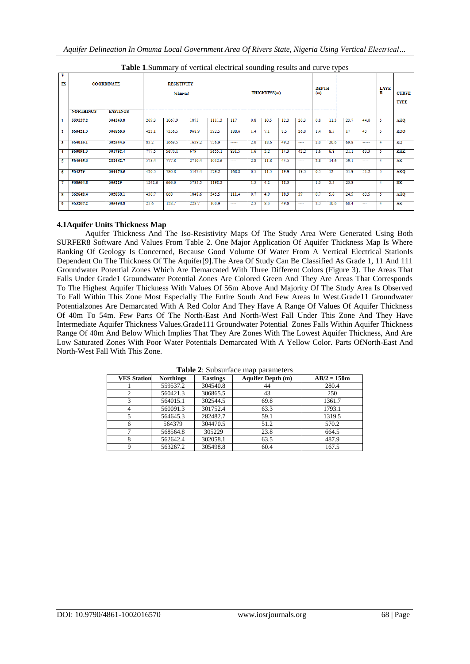| v<br>ES | <b>NORTHINGS</b> | <b>COORDINATE</b><br><b>EASTINGS</b> |        | <b>RESISTIVITY</b><br>$(ohm-m)$ |        |        |       |     | THICKNESS(m) |      |                | <b>DEPTH</b><br>(m)<br>--------------- |      |      |                          | <b>LAYE</b><br>R | <b>CURVE</b><br><b>TYPE</b> |
|---------|------------------|--------------------------------------|--------|---------------------------------|--------|--------|-------|-----|--------------|------|----------------|----------------------------------------|------|------|--------------------------|------------------|-----------------------------|
| 1       | 559537.2         | 304540.8                             | 209.3  | 1067.9                          | 1875   | 1111.3 | 117   | 0.8 | 10.5         | 12.3 | 20.3           | 0.8                                    | 11.3 | 23.7 | 44.0                     |                  | <b>AKQ</b>                  |
| 2       | 560421.3         | 306865.5                             | 423.1  | 7356.5                          | 968.9  | 392.5  | 188.6 | 1.4 | 7.1          | 8.5  | 26.0           | 1.4                                    | 8.5  | 17   | 43                       | -5               | <b>KQQ</b>                  |
| 3       | 564015.1         | 302544.5                             | 83.2   | 1669.5                          | 1639.2 | 736.9  | ----- | 2.0 | 18.6         | 49.2 | ----           | 2.0                                    | 20.6 | 69.8 | -----                    |                  | KQ                          |
| 4       | 560091.3         | 301752.4                             | 777.5  | 5670.1                          | 679    | 3655.1 | 831.5 | 1.6 | 5.2          | 14.3 | 42.2           | 1.6                                    | 6.8  | 21.1 | 63.3                     | в                | <b>KHK</b>                  |
| Б       | 564645.3         | 282482.7                             | 578.4  | 777.8                           | 2710.4 | 1012.6 | ----  | 2.8 | 11.8         | 44.5 | $\overline{a}$ | 2.8                                    | 14.6 | 59.1 | ----                     |                  | AK                          |
| 6       | 564379           | 304470.5                             | 420.5  | 780.8                           | 3147.4 | 529.2  | 168.8 | 0.5 | 11.5         | 19.9 | 19.3           | 0.5                                    | 12   | 31.9 | 51.2                     |                  | <b>AKQ</b>                  |
| 7       | 568564.8         | 305229                               | 1242.6 | 666.6                           | 3785.5 | 1198.2 | ----  | 1.3 | 4.2          | 18.3 | $\overline{a}$ | 1.3                                    | 5.5  | 23.8 | ----                     |                  | HK                          |
| 8       | 562642.4         | 302058.1                             | 430.7  | 668                             | 1848.6 | 545.5  | 111.4 | 0.7 | 4.9          | 18.9 | 39             | 0.7                                    | 5.6  | 24.5 | 63.5                     |                  | <b>AKQ</b>                  |
| 9       | 563267.2         | 305498.8                             | 25.6   | 158.7                           | 228.7  | 100.9  | ----  | 2.3 | 8.3          | 49.8 | ----           | 2.3                                    | 10.6 | 60.4 | $\overline{\phantom{a}}$ |                  | $\overline{AK}$             |

**Table 1**.Summary of vertical electrical sounding results and curve types

# **4.1Aquifer Units Thickness Map**

Aquifer Thickness And The Iso-Resistivity Maps Of The Study Area Were Generated Using Both SURFER8 Software And Values From Table 2. One Major Application Of Aquifer Thickness Map Is Where Ranking Of Geology Is Concerned, Because Good Volume Of Water From A Vertical Electrical StationIs Dependent On The Thickness Of The Aquifer[9].The Area Of Study Can Be Classified As Grade 1, 11 And 111 Groundwater Potential Zones Which Are Demarcated With Three Different Colors (Figure 3). The Areas That Falls Under Grade1 Groundwater Potential Zones Are Colored Green And They Are Areas That Corresponds To The Highest Aquifer Thickness With Values Of 56m Above And Majority Of The Study Area Is Observed To Fall Within This Zone Most Especially The Entire South And Few Areas In West.Grade11 Groundwater Potentialzones Are Demarcated With A Red Color And They Have A Range Of Values Of Aquifer Thickness Of 40m To 54m. Few Parts Of The North-East And North-West Fall Under This Zone And They Have Intermediate Aquifer Thickness Values.Grade111 Groundwater Potential Zones Falls Within Aquifer Thickness Range Of 40m And Below Which Implies That They Are Zones With The Lowest Aquifer Thickness, And Are Low Saturated Zones With Poor Water Potentials Demarcated With A Yellow Color. Parts OfNorth-East And North-West Fall With This Zone.

| <b>VES Station</b> | <b>Northings</b> | <b>Eastings</b> | <b>Aquifer Depth (m)</b> | $AB/2 = 150m$ |
|--------------------|------------------|-----------------|--------------------------|---------------|
|                    | 559537.2         | 304540.8        | 44                       | 280.4         |
|                    | 560421.3         | 306865.5        | 43                       | 250           |
|                    | 564015.1         | 302544.5        | 69.8                     | 1361.7        |
|                    | 560091.3         | 301752.4        | 63.3                     | 1793.1        |
|                    | 564645.3         | 282482.7        | 59.1                     | 1319.5        |
| 6                  | 564379           | 304470.5        | 51.2                     | 570.2         |
|                    | 568564.8         | 305229          | 23.8                     | 664.5         |
|                    | 562642.4         | 302058.1        | 63.5                     | 487.9         |
|                    | 563267.2         | 305498.8        | 60.4                     | 167.5         |

**Table 2**: Subsurface map parameters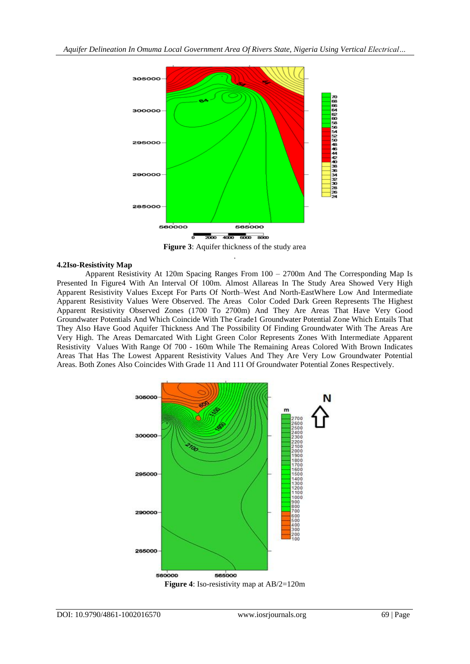

**Figure 3**: Aquifer thickness of the study area .

## **4.2Iso-Resistivity Map**

Apparent Resistivity At 120m Spacing Ranges From 100 – 2700m And The Corresponding Map Is Presented In Figure4 With An Interval Of 100m. Almost Allareas In The Study Area Showed Very High Apparent Resistivity Values Except For Parts Of North–West And North-EastWhere Low And Intermediate Apparent Resistivity Values Were Observed. The Areas Color Coded Dark Green Represents The Highest Apparent Resistivity Observed Zones (1700 To 2700m) And They Are Areas That Have Very Good Groundwater Potentials And Which Coincide With The Grade1 Groundwater Potential Zone Which Entails That They Also Have Good Aquifer Thickness And The Possibility Of Finding Groundwater With The Areas Are Very High. The Areas Demarcated With Light Green Color Represents Zones With Intermediate Apparent Resistivity Values With Range Of 700 - 160m While The Remaining Areas Colored With Brown Indicates Areas That Has The Lowest Apparent Resistivity Values And They Are Very Low Groundwater Potential Areas. Both Zones Also Coincides With Grade 11 And 111 Of Groundwater Potential Zones Respectively.